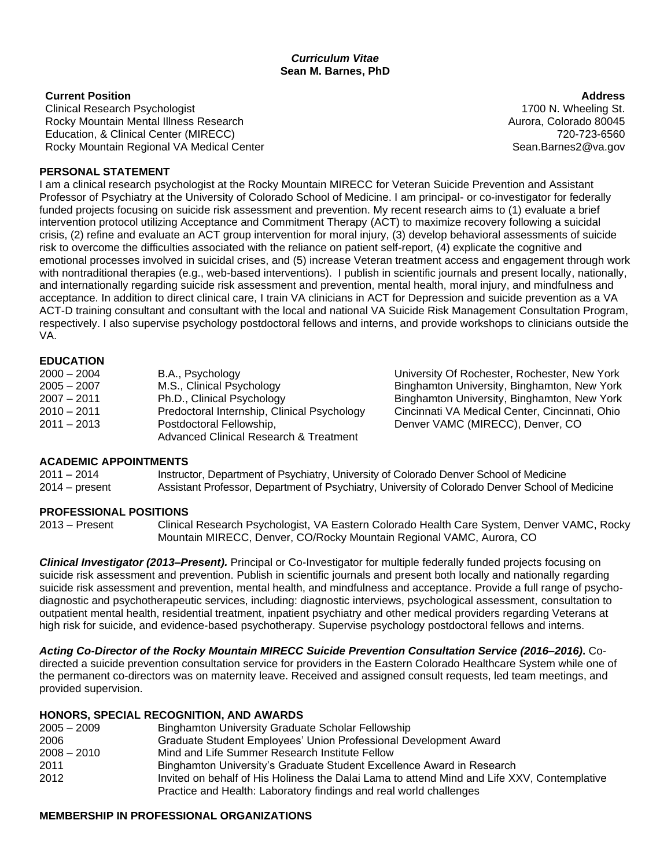#### *Curriculum Vitae* **Sean M. Barnes, PhD**

#### **Current Position**

Clinical Research Psychologist Rocky Mountain Mental Illness Research Education, & Clinical Center (MIRECC) Rocky Mountain Regional VA Medical Center

#### **Address** 1700 N. Wheeling St. Aurora, Colorado 80045 720-723-6560 Sean.Barnes2@va.gov

#### **PERSONAL STATEMENT**

I am a clinical research psychologist at the Rocky Mountain MIRECC for Veteran Suicide Prevention and Assistant Professor of Psychiatry at the University of Colorado School of Medicine. I am principal- or co-investigator for federally funded projects focusing on suicide risk assessment and prevention. My recent research aims to (1) evaluate a brief intervention protocol utilizing Acceptance and Commitment Therapy (ACT) to maximize recovery following a suicidal crisis, (2) refine and evaluate an ACT group intervention for moral injury, (3) develop behavioral assessments of suicide risk to overcome the difficulties associated with the reliance on patient self-report, (4) explicate the cognitive and emotional processes involved in suicidal crises, and (5) increase Veteran treatment access and engagement through work with nontraditional therapies (e.g., web-based interventions). I publish in scientific journals and present locally, nationally, and internationally regarding suicide risk assessment and prevention, mental health, moral injury, and mindfulness and acceptance. In addition to direct clinical care, I train VA clinicians in ACT for Depression and suicide prevention as a VA ACT-D training consultant and consultant with the local and national VA Suicide Risk Management Consultation Program, respectively. I also supervise psychology postdoctoral fellows and interns, and provide workshops to clinicians outside the VA.

#### **EDUCATION**

| $2000 - 2004$ | B.A., Psychology                                  |
|---------------|---------------------------------------------------|
| $2005 - 2007$ | M.S., Clinical Psychology                         |
| $2007 - 2011$ | Ph.D., Clinical Psychology                        |
| $2010 - 2011$ | Predoctoral Internship, Clinical Psychology       |
| $2011 - 2013$ | Postdoctoral Fellowship,                          |
|               | <b>Advanced Clinical Research &amp; Treatment</b> |

University Of Rochester, Rochester, New York Binghamton University, Binghamton, New York Binghamton University, Binghamton, New York Cincinnati VA Medical Center, Cincinnati, Ohio Denver VAMC (MIRECC), Denver, CO

# **ACADEMIC APPOINTMENTS**

2011 – 2014 Instructor, Department of Psychiatry, University of Colorado Denver School of Medicine 2014 – present Assistant Professor, Department of Psychiatry, University of Colorado Denver School of Medicine

# **PROFESSIONAL POSITIONS**

2013 – Present Clinical Research Psychologist, VA Eastern Colorado Health Care System, Denver VAMC, Rocky Mountain MIRECC, Denver, CO/Rocky Mountain Regional VAMC, Aurora, CO

*Clinical Investigator (2013–Present).* Principal or Co-Investigator for multiple federally funded projects focusing on suicide risk assessment and prevention. Publish in scientific journals and present both locally and nationally regarding suicide risk assessment and prevention, mental health, and mindfulness and acceptance. Provide a full range of psychodiagnostic and psychotherapeutic services, including: diagnostic interviews, psychological assessment, consultation to outpatient mental health, residential treatment, inpatient psychiatry and other medical providers regarding Veterans at high risk for suicide, and evidence-based psychotherapy. Supervise psychology postdoctoral fellows and interns.

*Acting Co-Director of the Rocky Mountain MIRECC Suicide Prevention Consultation Service (2016–2016)***.** Codirected a suicide prevention consultation service for providers in the Eastern Colorado Healthcare System while one of the permanent co-directors was on maternity leave. Received and assigned consult requests, led team meetings, and provided supervision.

# **HONORS, SPECIAL RECOGNITION, AND AWARDS**

| $2005 - 2009$ | Binghamton University Graduate Scholar Fellowship                                           |
|---------------|---------------------------------------------------------------------------------------------|
| 2006          | Graduate Student Employees' Union Professional Development Award                            |
| $2008 - 2010$ | Mind and Life Summer Research Institute Fellow                                              |
| 2011          | Binghamton University's Graduate Student Excellence Award in Research                       |
| 2012          | Invited on behalf of His Holiness the Dalai Lama to attend Mind and Life XXV, Contemplative |
|               | Practice and Health: Laboratory findings and real world challenges                          |

#### **MEMBERSHIP IN PROFESSIONAL ORGANIZATIONS**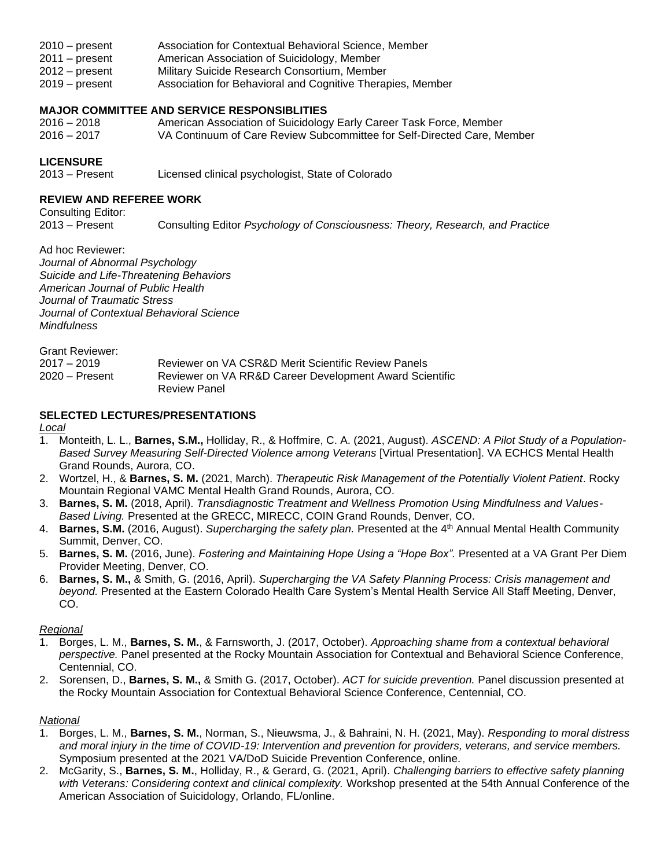- 2010 present Association for Contextual Behavioral Science, Member
- 2011 present American Association of Suicidology, Member
- 2012 present Military Suicide Research Consortium, Member
- 2019 present Association for Behavioral and Cognitive Therapies, Member

#### **MAJOR COMMITTEE AND SERVICE RESPONSIBLITIES**

- 2016 2018 American Association of Suicidology Early Career Task Force, Member
- 2016 2017 VA Continuum of Care Review Subcommittee for Self-Directed Care, Member

# **LICENSURE**

2013 – Present Licensed clinical psychologist, State of Colorado

# **REVIEW AND REFEREE WORK**

Consulting Editor:<br>2013 – Present

2013 – Present Consulting Editor *Psychology of Consciousness: Theory, Research, and Practice*

Ad hoc Reviewer: *Journal of Abnormal Psychology Suicide and Life-Threatening Behaviors American Journal of Public Health Journal of Traumatic Stress Journal of Contextual Behavioral Science Mindfulness*

| Grant Reviewer: |                                                         |
|-----------------|---------------------------------------------------------|
| 2017 – 2019     | Reviewer on VA CSR&D Merit Scientific Review Panels     |
| 2020 – Present  | Reviewer on VA RR&D Career Development Award Scientific |
|                 | <b>Review Panel</b>                                     |

# **SELECTED LECTURES/PRESENTATIONS**

*Local*

- 1. Monteith, L. L., **Barnes, S.M.,** Holliday, R., & Hoffmire, C. A. (2021, August). *ASCEND: A Pilot Study of a Population-Based Survey Measuring Self-Directed Violence among Veterans* [Virtual Presentation]. VA ECHCS Mental Health Grand Rounds, Aurora, CO.
- 2. Wortzel, H., & **Barnes, S. M.** (2021, March). *Therapeutic Risk Management of the Potentially Violent Patient*. Rocky Mountain Regional VAMC Mental Health Grand Rounds, Aurora, CO.
- 3. **Barnes, S. M.** (2018, April). *Transdiagnostic Treatment and Wellness Promotion Using Mindfulness and Values-Based Living.* Presented at the GRECC, MIRECC, COIN Grand Rounds, Denver, CO.
- 4. **Barnes, S.M.** (2016, August). *Supercharging the safety plan.* Presented at the 4<sup>th</sup> Annual Mental Health Community Summit, Denver, CO.
- 5. **Barnes, S. M.** (2016, June). *Fostering and Maintaining Hope Using a "Hope Box".* Presented at a VA Grant Per Diem Provider Meeting, Denver, CO.
- 6. **Barnes, S. M.,** & Smith, G. (2016, April). *Supercharging the VA Safety Planning Process: Crisis management and beyond.* Presented at the Eastern Colorado Health Care System's Mental Health Service All Staff Meeting, Denver, CO.

# *Regional*

- 1. Borges, L. M., **Barnes, S. M.**, & Farnsworth, J. (2017, October). *Approaching shame from a contextual behavioral perspective.* Panel presented at the Rocky Mountain Association for Contextual and Behavioral Science Conference, Centennial, CO.
- 2. Sorensen, D., **Barnes, S. M.,** & Smith G. (2017, October). *ACT for suicide prevention.* Panel discussion presented at the Rocky Mountain Association for Contextual Behavioral Science Conference, Centennial, CO.

# *National*

- 1. Borges, L. M., **Barnes, S. M.**, Norman, S., Nieuwsma, J., & Bahraini, N. H. (2021, May). *Responding to moral distress and moral injury in the time of COVID-19: Intervention and prevention for providers, veterans, and service members.* Symposium presented at the 2021 VA/DoD Suicide Prevention Conference, online.
- 2. McGarity, S., **Barnes, S. M.**, Holliday, R., & Gerard, G. (2021, April). *Challenging barriers to effective safety planning with Veterans: Considering context and clinical complexity.* Workshop presented at the 54th Annual Conference of the American Association of Suicidology, Orlando, FL/online.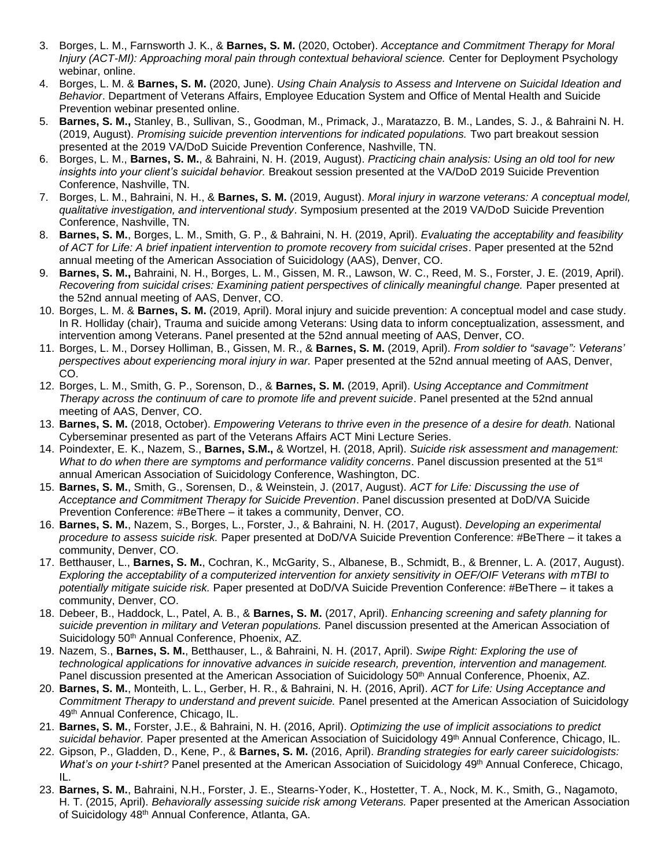- 3. Borges, L. M., Farnsworth J. K., & **Barnes, S. M.** (2020, October). *Acceptance and Commitment Therapy for Moral Injury (ACT-MI): Approaching moral pain through contextual behavioral science.* Center for Deployment Psychology webinar, online.
- 4. Borges, L. M. & **Barnes, S. M.** (2020, June). *Using Chain Analysis to Assess and Intervene on Suicidal Ideation and Behavior*. Department of Veterans Affairs, Employee Education System and Office of Mental Health and Suicide Prevention webinar presented online.
- 5. **Barnes, S. M.,** Stanley, B., Sullivan, S., Goodman, M., Primack, J., Maratazzo, B. M., Landes, S. J., & Bahraini N. H. (2019, August). *Promising suicide prevention interventions for indicated populations.* Two part breakout session presented at the 2019 VA/DoD Suicide Prevention Conference, Nashville, TN.
- 6. Borges, L. M., **Barnes, S. M.**, & Bahraini, N. H. (2019, August). *Practicing chain analysis: Using an old tool for new insights into your client's suicidal behavior.* Breakout session presented at the VA/DoD 2019 Suicide Prevention Conference, Nashville, TN.
- 7. Borges, L. M., Bahraini, N. H., & **Barnes, S. M.** (2019, August). *Moral injury in warzone veterans: A conceptual model, qualitative investigation, and interventional study*. Symposium presented at the 2019 VA/DoD Suicide Prevention Conference, Nashville, TN.
- 8. **Barnes, S. M.**, Borges, L. M., Smith, G. P., & Bahraini, N. H. (2019, April). *Evaluating the acceptability and feasibility of ACT for Life: A brief inpatient intervention to promote recovery from suicidal crises*. Paper presented at the 52nd annual meeting of the American Association of Suicidology (AAS), Denver, CO.
- 9. **Barnes, S. M.,** Bahraini, N. H., Borges, L. M., Gissen, M. R., Lawson, W. C., Reed, M. S., Forster, J. E. (2019, April). *Recovering from suicidal crises: Examining patient perspectives of clinically meaningful change.* Paper presented at the 52nd annual meeting of AAS, Denver, CO.
- 10. Borges, L. M. & **Barnes, S. M.** (2019, April). Moral injury and suicide prevention: A conceptual model and case study. In R. Holliday (chair), Trauma and suicide among Veterans: Using data to inform conceptualization, assessment, and intervention among Veterans. Panel presented at the 52nd annual meeting of AAS, Denver, CO.
- 11. Borges, L. M., Dorsey Holliman, B., Gissen, M. R., & **Barnes, S. M.** (2019, April). *From soldier to "savage": Veterans' perspectives about experiencing moral injury in war.* Paper presented at the 52nd annual meeting of AAS, Denver, CO.
- 12. Borges, L. M., Smith, G. P., Sorenson, D., & **Barnes, S. M.** (2019, April). *Using Acceptance and Commitment Therapy across the continuum of care to promote life and prevent suicide*. Panel presented at the 52nd annual meeting of AAS, Denver, CO.
- 13. **Barnes, S. M.** (2018, October). *Empowering Veterans to thrive even in the presence of a desire for death.* National Cyberseminar presented as part of the Veterans Affairs ACT Mini Lecture Series.
- 14. Poindexter, E. K., Nazem, S., **Barnes, S.M.,** & Wortzel, H. (2018, April). *Suicide risk assessment and management: What to do when there are symptoms and performance validity concerns*. Panel discussion presented at the 51st annual American Association of Suicidology Conference, Washington, DC.
- 15. **Barnes, S. M.**, Smith, G., Sorensen, D., & Weinstein, J. (2017, August). *ACT for Life: Discussing the use of Acceptance and Commitment Therapy for Suicide Prevention*. Panel discussion presented at DoD/VA Suicide Prevention Conference: #BeThere – it takes a community, Denver, CO.
- 16. **Barnes, S. M.**, Nazem, S., Borges, L., Forster, J., & Bahraini, N. H. (2017, August). *Developing an experimental procedure to assess suicide risk.* Paper presented at DoD/VA Suicide Prevention Conference: #BeThere – it takes a community, Denver, CO.
- 17. Betthauser, L., **Barnes, S. M.**, Cochran, K., McGarity, S., Albanese, B., Schmidt, B., & Brenner, L. A. (2017, August). *Exploring the acceptability of a computerized intervention for anxiety sensitivity in OEF/OIF Veterans with mTBI to potentially mitigate suicide risk.* Paper presented at DoD/VA Suicide Prevention Conference: #BeThere – it takes a community, Denver, CO.
- 18. Debeer, B., Haddock, L., Patel, A. B., & **Barnes, S. M.** (2017, April). *Enhancing screening and safety planning for suicide prevention in military and Veteran populations.* Panel discussion presented at the American Association of Suicidology 50<sup>th</sup> Annual Conference, Phoenix, AZ.
- 19. Nazem, S., **Barnes, S. M.**, Betthauser, L., & Bahraini, N. H. (2017, April). *Swipe Right: Exploring the use of technological applications for innovative advances in suicide research, prevention, intervention and management.*  Panel discussion presented at the American Association of Suicidology 50<sup>th</sup> Annual Conference, Phoenix, AZ.
- 20. **Barnes, S. M.**, Monteith, L. L., Gerber, H. R., & Bahraini, N. H. (2016, April). *ACT for Life: Using Acceptance and Commitment Therapy to understand and prevent suicide.* Panel presented at the American Association of Suicidology 49th Annual Conference, Chicago, IL.
- 21. **Barnes, S. M.**, Forster, J.E., & Bahraini, N. H. (2016, April). *Optimizing the use of implicit associations to predict*  suicidal behavior. Paper presented at the American Association of Suicidology 49<sup>th</sup> Annual Conference, Chicago, IL.
- 22. Gipson, P., Gladden, D., Kene, P., & **Barnes, S. M.** (2016, April). *Branding strategies for early career suicidologists: What's on your t-shirt?* Panel presented at the American Association of Suicidology 49<sup>th</sup> Annual Conferece, Chicago, IL.
- 23. **Barnes, S. M.**, Bahraini, N.H., Forster, J. E., Stearns-Yoder, K., Hostetter, T. A., Nock, M. K., Smith, G., Nagamoto, H. T. (2015, April). *Behaviorally assessing suicide risk among Veterans.* Paper presented at the American Association of Suicidology 48th Annual Conference, Atlanta, GA.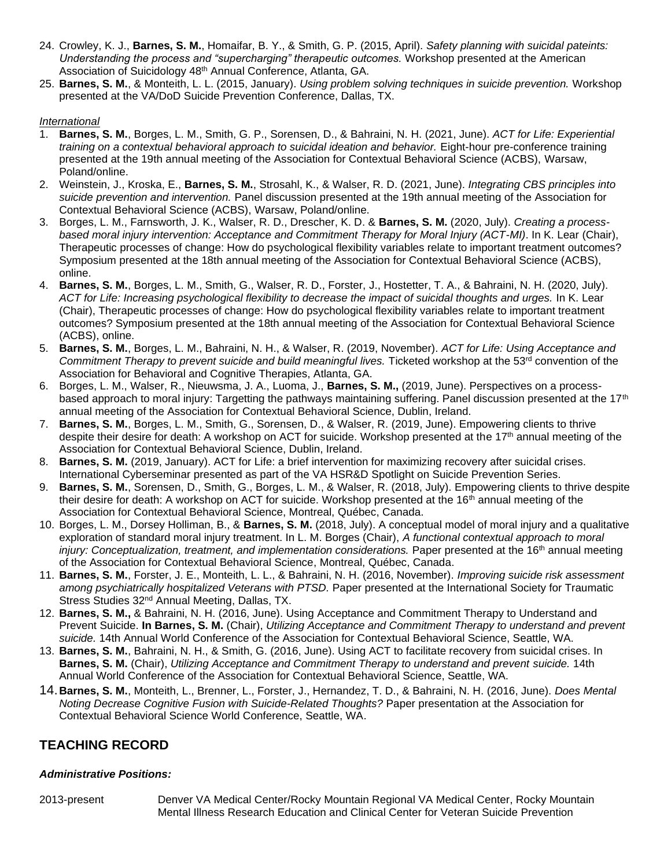- 24. Crowley, K. J., **Barnes, S. M.**, Homaifar, B. Y., & Smith, G. P. (2015, April). *Safety planning with suicidal pateints: Understanding the process and "supercharging" therapeutic outcomes.* Workshop presented at the American Association of Suicidology 48<sup>th</sup> Annual Conference, Atlanta, GA.
- 25. **Barnes, S. M.**, & Monteith, L. L. (2015, January). *Using problem solving techniques in suicide prevention.* Workshop presented at the VA/DoD Suicide Prevention Conference, Dallas, TX.

#### *International*

- 1. **Barnes, S. M.**, Borges, L. M., Smith, G. P., Sorensen, D., & Bahraini, N. H. (2021, June). *ACT for Life: Experiential training on a contextual behavioral approach to suicidal ideation and behavior.* Eight-hour pre-conference training presented at the 19th annual meeting of the Association for Contextual Behavioral Science (ACBS), Warsaw, Poland/online.
- 2. Weinstein, J., Kroska, E., **Barnes, S. M.**, Strosahl, K., & Walser, R. D. (2021, June). *Integrating CBS principles into suicide prevention and intervention.* Panel discussion presented at the 19th annual meeting of the Association for Contextual Behavioral Science (ACBS), Warsaw, Poland/online.
- 3. Borges, L. M., Farnsworth, J. K., Walser, R. D., Drescher, K. D. & **Barnes, S. M.** (2020, July). *Creating a processbased moral injury intervention: Acceptance and Commitment Therapy for Moral Injury (ACT-MI)*. In K. Lear (Chair), Therapeutic processes of change: How do psychological flexibility variables relate to important treatment outcomes? Symposium presented at the 18th annual meeting of the Association for Contextual Behavioral Science (ACBS), online.
- 4. **Barnes, S. M.**, Borges, L. M., Smith, G., Walser, R. D., Forster, J., Hostetter, T. A., & Bahraini, N. H. (2020, July). *ACT for Life: Increasing psychological flexibility to decrease the impact of suicidal thoughts and urges.* In K. Lear (Chair), Therapeutic processes of change: How do psychological flexibility variables relate to important treatment outcomes? Symposium presented at the 18th annual meeting of the Association for Contextual Behavioral Science (ACBS), online.
- 5. **Barnes, S. M.**, Borges, L. M., Bahraini, N. H., & Walser, R. (2019, November). *ACT for Life: Using Acceptance and Commitment Therapy to prevent suicide and build meaningful lives.* Ticketed workshop at the 53<sup>rd</sup> convention of the Association for Behavioral and Cognitive Therapies, Atlanta, GA.
- 6. Borges, L. M., Walser, R., Nieuwsma, J. A., Luoma, J., **Barnes, S. M.,** (2019, June). Perspectives on a processbased approach to moral injury: Targetting the pathways maintaining suffering. Panel discussion presented at the 17<sup>th</sup> annual meeting of the Association for Contextual Behavioral Science, Dublin, Ireland.
- 7. **Barnes, S. M.**, Borges, L. M., Smith, G., Sorensen, D., & Walser, R. (2019, June). Empowering clients to thrive despite their desire for death: A workshop on ACT for suicide. Workshop presented at the 17<sup>th</sup> annual meeting of the Association for Contextual Behavioral Science, Dublin, Ireland.
- 8. **Barnes, S. M.** (2019, January). ACT for Life: a brief intervention for maximizing recovery after suicidal crises. International Cyberseminar presented as part of the VA HSR&D Spotlight on Suicide Prevention Series.
- 9. **Barnes, S. M.**, Sorensen, D., Smith, G., Borges, L. M., & Walser, R. (2018, July). Empowering clients to thrive despite their desire for death: A workshop on ACT for suicide. Workshop presented at the 16<sup>th</sup> annual meeting of the Association for Contextual Behavioral Science, Montreal, Québec, Canada.
- 10. Borges, L. M., Dorsey Holliman, B., & **Barnes, S. M.** (2018, July). A conceptual model of moral injury and a qualitative exploration of standard moral injury treatment. In L. M. Borges (Chair), *A functional contextual approach to moral injury: Conceptualization, treatment, and implementation considerations.* Paper presented at the 16<sup>th</sup> annual meeting of the Association for Contextual Behavioral Science, Montreal, Québec, Canada.
- 11. **Barnes, S. M.**, Forster, J. E., Monteith, L. L., & Bahraini, N. H. (2016, November). *Improving suicide risk assessment among psychiatrically hospitalized Veterans with PTSD.* Paper presented at the International Society for Traumatic Stress Studies 32<sup>nd</sup> Annual Meeting, Dallas, TX.
- 12. **Barnes, S. M.,** & Bahraini, N. H. (2016, June). Using Acceptance and Commitment Therapy to Understand and Prevent Suicide. **In Barnes, S. M.** (Chair), *Utilizing Acceptance and Commitment Therapy to understand and prevent suicide.* 14th Annual World Conference of the Association for Contextual Behavioral Science, Seattle, WA.
- 13. **Barnes, S. M.**, Bahraini, N. H., & Smith, G. (2016, June). Using ACT to facilitate recovery from suicidal crises. In **Barnes, S. M.** (Chair), *Utilizing Acceptance and Commitment Therapy to understand and prevent suicide.* 14th Annual World Conference of the Association for Contextual Behavioral Science, Seattle, WA.
- 14.**Barnes, S. M.**, Monteith, L., Brenner, L., Forster, J., Hernandez, T. D., & Bahraini, N. H. (2016, June). *Does Mental Noting Decrease Cognitive Fusion with Suicide-Related Thoughts?* Paper presentation at the Association for Contextual Behavioral Science World Conference, Seattle, WA.

# **TEACHING RECORD**

# *Administrative Positions:*

2013-present Denver VA Medical Center/Rocky Mountain Regional VA Medical Center, Rocky Mountain Mental Illness Research Education and Clinical Center for Veteran Suicide Prevention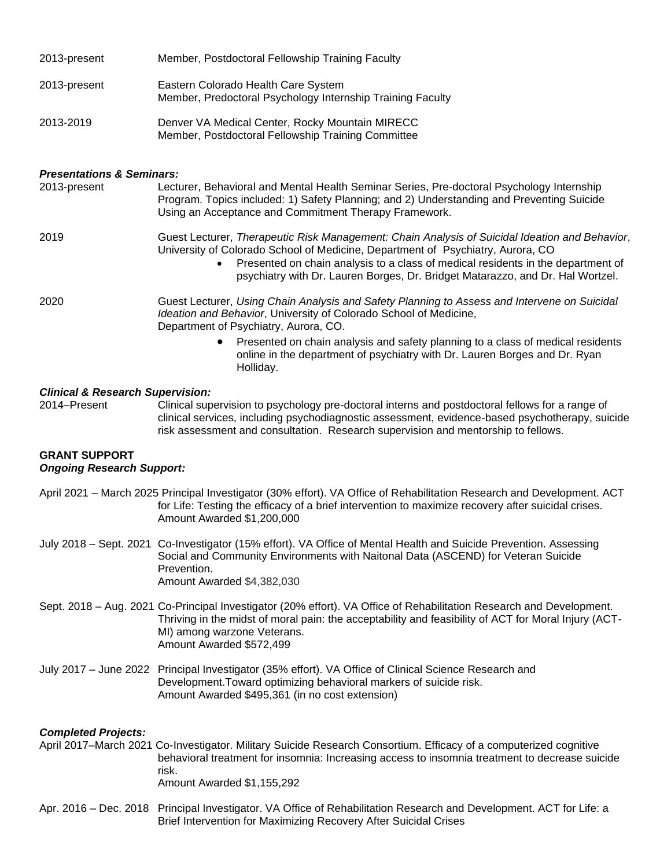| 2013-present                                             | Member, Postdoctoral Fellowship Training Faculty                                                                                                                                                                                                                                                                                                        |  |
|----------------------------------------------------------|---------------------------------------------------------------------------------------------------------------------------------------------------------------------------------------------------------------------------------------------------------------------------------------------------------------------------------------------------------|--|
| 2013-present                                             | Eastern Colorado Health Care System<br>Member, Predoctoral Psychology Internship Training Faculty                                                                                                                                                                                                                                                       |  |
| 2013-2019                                                | Denver VA Medical Center, Rocky Mountain MIRECC<br>Member, Postdoctoral Fellowship Training Committee                                                                                                                                                                                                                                                   |  |
| <b>Presentations &amp; Seminars:</b>                     |                                                                                                                                                                                                                                                                                                                                                         |  |
| 2013-present                                             | Lecturer, Behavioral and Mental Health Seminar Series, Pre-doctoral Psychology Internship<br>Program. Topics included: 1) Safety Planning; and 2) Understanding and Preventing Suicide<br>Using an Acceptance and Commitment Therapy Framework.                                                                                                         |  |
| 2019                                                     | Guest Lecturer, Therapeutic Risk Management: Chain Analysis of Suicidal Ideation and Behavior,<br>University of Colorado School of Medicine, Department of Psychiatry, Aurora, CO<br>Presented on chain analysis to a class of medical residents in the department of<br>psychiatry with Dr. Lauren Borges, Dr. Bridget Matarazzo, and Dr. Hal Wortzel. |  |
| 2020                                                     | Guest Lecturer, Using Chain Analysis and Safety Planning to Assess and Intervene on Suicidal<br>Ideation and Behavior, University of Colorado School of Medicine,<br>Department of Psychiatry, Aurora, CO.                                                                                                                                              |  |
|                                                          | Presented on chain analysis and safety planning to a class of medical residents<br>online in the department of psychiatry with Dr. Lauren Borges and Dr. Ryan<br>Holliday.                                                                                                                                                                              |  |
| <b>Clinical &amp; Research Supervision:</b>              |                                                                                                                                                                                                                                                                                                                                                         |  |
| 2014-Present                                             | Clinical supervision to psychology pre-doctoral interns and postdoctoral fellows for a range of<br>clinical services, including psychodiagnostic assessment, evidence-based psychotherapy, suicide<br>risk assessment and consultation. Research supervision and mentorship to fellows.                                                                 |  |
| <b>GRANT SUPPORT</b><br><b>Ongoing Research Support:</b> |                                                                                                                                                                                                                                                                                                                                                         |  |
|                                                          | April 2021 - March 2025 Principal Investigator (30% effort). VA Office of Rehabilitation Research and Development. ACT<br>for Life: Testing the efficacy of a brief intervention to maximize recovery after suicidal crises.<br>Amount Awarded \$1,200,000                                                                                              |  |
|                                                          | July 2018 - Sept. 2021 Co-Investigator (15% effort). VA Office of Mental Health and Suicide Prevention. Assessing<br>Social and Community Environments with Naitonal Data (ASCEND) for Veteran Suicide<br>Prevention.<br>Amount Awarded \$4,382,030                                                                                                     |  |
|                                                          | Sept. 2018 – Aug. 2021 Co-Principal Investigator (20% effort). VA Office of Rehabilitation Research and Development.<br>Thriving in the midst of moral pain: the acceptability and feasibility of ACT for Moral Injury (ACT-<br>MI) among warzone Veterans.<br>Amount Awarded \$572,499                                                                 |  |
|                                                          | July 2017 - June 2022 Principal Investigator (35% effort). VA Office of Clinical Science Research and<br>Development. Toward optimizing behavioral markers of suicide risk.<br>Amount Awarded \$495,361 (in no cost extension)                                                                                                                          |  |
| <b>Completed Projects:</b>                               | April 2017–March 2021 Co-Investigator. Military Suicide Research Consortium. Efficacy of a computerized cognitive<br>behavioral treatment for insomnia: Increasing access to insomnia treatment to decrease suicide<br>risk.<br>Amount Awarded \$1,155,292                                                                                              |  |

Apr. 2016 – Dec. 2018 Principal Investigator. VA Office of Rehabilitation Research and Development. ACT for Life: a Brief Intervention for Maximizing Recovery After Suicidal Crises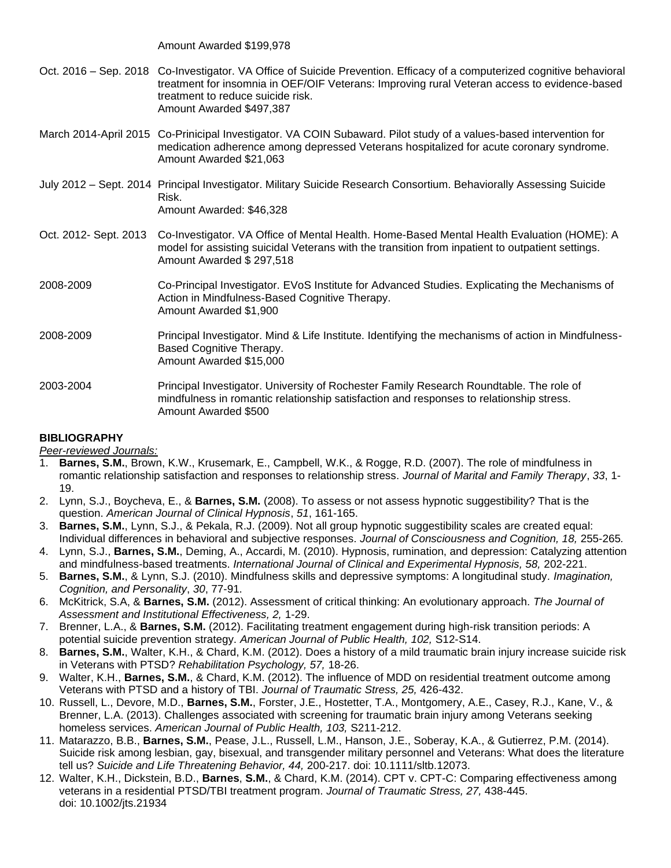Amount Awarded \$199,978

- Oct. 2016 Sep. 2018 Co-Investigator. VA Office of Suicide Prevention. Efficacy of a computerized cognitive behavioral treatment for insomnia in OEF/OIF Veterans: Improving rural Veteran access to evidence-based treatment to reduce suicide risk. Amount Awarded \$497,387
- March 2014-April 2015 Co-Prinicipal Investigator. VA COIN Subaward. Pilot study of a values-based intervention for medication adherence among depressed Veterans hospitalized for acute coronary syndrome. Amount Awarded \$21,063
- July 2012 Sept. 2014 Principal Investigator. Military Suicide Research Consortium. Behaviorally Assessing Suicide Risk. Amount Awarded: \$46,328
- Oct. 2012- Sept. 2013 Co-Investigator. VA Office of Mental Health. Home-Based Mental Health Evaluation (HOME): A model for assisting suicidal Veterans with the transition from inpatient to outpatient settings. Amount Awarded \$ 297,518
- 2008-2009 Co-Principal Investigator. EVoS Institute for Advanced Studies. Explicating the Mechanisms of Action in Mindfulness-Based Cognitive Therapy. Amount Awarded \$1,900
- 2008-2009 Principal Investigator. Mind & Life Institute. Identifying the mechanisms of action in Mindfulness-Based Cognitive Therapy. Amount Awarded \$15,000
- 2003-2004 Principal Investigator. University of Rochester Family Research Roundtable. The role of mindfulness in romantic relationship satisfaction and responses to relationship stress. Amount Awarded \$500

# **BIBLIOGRAPHY**

*Peer-reviewed Journals:*

- 1. **Barnes, S.M.**, Brown, K.W., Krusemark, E., Campbell, W.K., & Rogge, R.D. (2007). The role of mindfulness in romantic relationship satisfaction and responses to relationship stress. *Journal of Marital and Family Therapy*, *33*, 1- 19.
- 2. Lynn, S.J., Boycheva, E., & **Barnes, S.M.** (2008). To assess or not assess hypnotic suggestibility? That is the question. *American Journal of Clinical Hypnosis*, *51*, 161-165.
- 3. **Barnes, S.M.**, Lynn, S.J., & Pekala, R.J. (2009). Not all group hypnotic suggestibility scales are created equal: Individual differences in behavioral and subjective responses. *Journal of Consciousness and Cognition, 18,* 255-265*.*
- 4. Lynn, S.J., **Barnes, S.M.**, Deming, A., Accardi, M. (2010). Hypnosis, rumination, and depression: Catalyzing attention and mindfulness-based treatments. *International Journal of Clinical and Experimental Hypnosis, 58,* 202-221.
- 5. **Barnes, S.M.**, & Lynn, S.J. (2010). Mindfulness skills and depressive symptoms: A longitudinal study*. Imagination, Cognition, and Personality*, *30*, 77-91.
- 6. McKitrick, S.A, & **Barnes, S.M.** (2012). Assessment of critical thinking: An evolutionary approach. *The Journal of Assessment and Institutional Effectiveness, 2,* 1-29.
- 7. Brenner, L.A., & **Barnes, S.M.** (2012). Facilitating treatment engagement during high-risk transition periods: A potential suicide prevention strategy. *American Journal of Public Health, 102,* S12-S14.
- 8. **Barnes, S.M.**, Walter, K.H., & Chard, K.M. (2012). Does a history of a mild traumatic brain injury increase suicide risk in Veterans with PTSD? *Rehabilitation Psychology, 57,* 18-26.
- 9. Walter, K.H., **Barnes, S.M.**, & Chard, K.M. (2012). The influence of MDD on residential treatment outcome among Veterans with PTSD and a history of TBI. *Journal of Traumatic Stress, 25,* 426-432.
- 10. Russell, L., Devore, M.D., **Barnes, S.M.**, Forster, J.E., Hostetter, T.A., Montgomery, A.E., Casey, R.J., Kane, V., & Brenner, L.A. (2013). Challenges associated with screening for traumatic brain injury among Veterans seeking homeless services. *American Journal of Public Health, 103,* S211-212.
- 11. Matarazzo, B.B., **Barnes, S.M.**, Pease, J.L., Russell, L.M., Hanson, J.E., Soberay, K.A., & Gutierrez, P.M. (2014). Suicide risk among lesbian, gay, bisexual, and transgender military personnel and Veterans: What does the literature tell us? *Suicide and Life Threatening Behavior, 44,* 200-217. doi: 10.1111/sltb.12073.
- 12. Walter, K.H., Dickstein, B.D., **Barnes**, **S.M.**, & Chard, K.M. (2014). CPT v. CPT-C: Comparing effectiveness among veterans in a residential PTSD/TBI treatment program. *Journal of Traumatic Stress, 27,* 438-445. doi: 10.1002/jts.21934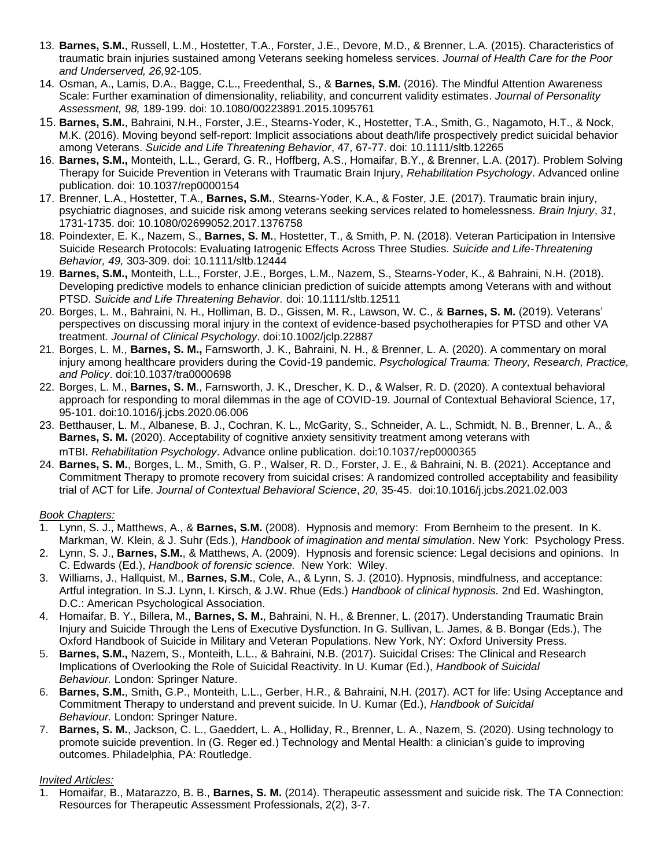- 13. **Barnes, S.M.**, Russell, L.M., Hostetter, T.A., Forster, J.E., Devore, M.D., & Brenner, L.A. (2015). Characteristics of traumatic brain injuries sustained among Veterans seeking homeless services. *Journal of Health Care for the Poor and Underserved, 26,*92-105.
- 14. Osman, A., Lamis, D.A., Bagge, C.L., Freedenthal, S., & **Barnes, S.M.** (2016). The Mindful Attention Awareness Scale: Further examination of dimensionality, reliability, and concurrent validity estimates. *Journal of Personality Assessment, 98,* 189-199. doi: 10.1080/00223891.2015.1095761
- 15. **Barnes, S.M.**, Bahraini, N.H., Forster, J.E., Stearns-Yoder, K., Hostetter, T.A., Smith, G., Nagamoto, H.T., & Nock, M.K. (2016). Moving beyond self-report: Implicit associations about death/life prospectively predict suicidal behavior among Veterans. *Suicide and Life Threatening Behavior*, 47, 67-77. doi: 10.1111/sltb.12265
- 16. **Barnes, S.M.,** Monteith, L.L., Gerard, G. R., Hoffberg, A.S., Homaifar, B.Y., & Brenner, L.A. (2017). Problem Solving Therapy for Suicide Prevention in Veterans with Traumatic Brain Injury, *Rehabilitation Psychology*. Advanced online publication. doi: 10.1037/rep0000154
- 17. Brenner, L.A., Hostetter, T.A., **Barnes, S.M.**, Stearns-Yoder, K.A., & Foster, J.E. (2017). Traumatic brain injury, psychiatric diagnoses, and suicide risk among veterans seeking services related to homelessness. *Brain Injury*, *31*, 1731-1735. [doi: 10.1080/02699052.2017.1376758](https://doi.org/10.1080/02699052.2017.1376758)
- 18. Poindexter, E. K., Nazem, S., **Barnes, S. M.**, Hostetter, T., & Smith, P. N. (2018). Veteran Participation in Intensive Suicide Research Protocols: Evaluating Iatrogenic Effects Across Three Studies. *Suicide and Life-Threatening Behavior, 49,* 303-309. doi: 10.1111/sltb.12444
- 19. **Barnes, S.M.,** Monteith, L.L., Forster, J.E., Borges, L.M., Nazem, S., Stearns-Yoder, K., & Bahraini, N.H. (2018). Developing predictive models to enhance clinician prediction of suicide attempts among Veterans with and without PTSD. *Suicide and Life Threatening Behavior.* [doi: 10.1111/sltb.12511](https://doi.org/10.1111/sltb.12511)
- 20. Borges, L. M., Bahraini, N. H., Holliman, B. D., Gissen, M. R., Lawson, W. C., & **Barnes, S. M.** (2019). Veterans' perspectives on discussing moral injury in the context of evidence-based psychotherapies for PTSD and other VA treatment. *Journal of Clinical Psychology*. doi:10.1002/jclp.22887
- 21. Borges, L. M., **Barnes, S. M.,** Farnsworth, J. K., Bahraini, N. H., & Brenner, L. A. (2020). A commentary on moral injury among healthcare providers during the Covid-19 pandemic. *Psychological Trauma: Theory, Research, Practice, and Policy*. doi:10.1037/tra0000698
- 22. Borges, L. M., **Barnes, S. M**., Farnsworth, J. K., Drescher, K. D., & Walser, R. D. (2020). A contextual behavioral approach for responding to moral dilemmas in the age of COVID-19. Journal of Contextual Behavioral Science, 17, 95-101. doi:10.1016/j.jcbs.2020.06.006
- 23. Betthauser, L. M., Albanese, B. J., Cochran, K. L., McGarity, S., Schneider, A. L., Schmidt, N. B., Brenner, L. A., & **Barnes, S. M.** (2020). Acceptability of cognitive anxiety sensitivity treatment among veterans with mTBI. *Rehabilitation Psychology*. Advance online publication. [doi:10.1037/rep0000365](https://psycnet.apa.org/doi/10.1037/rep0000365)
- 24. **Barnes, S. M.**, Borges, L. M., Smith, G. P., Walser, R. D., Forster, J. E., & Bahraini, N. B. (2021). Acceptance and Commitment Therapy to promote recovery from suicidal crises: A randomized controlled acceptability and feasibility trial of ACT for Life. *Journal of Contextual Behavioral Science*, *20*, 35-45. [doi:10.1016/j.jcbs.2021.02.003](https://doi.org/10.1016/j.jcbs.2021.02.003)

# *Book Chapters:*

- 1. Lynn, S. J., Matthews, A., & **Barnes, S.M.** (2008). Hypnosis and memory: From Bernheim to the present. In K. Markman, W. Klein, & J. Suhr (Eds.), *Handbook of imagination and mental simulation*. New York: Psychology Press.
- 2. Lynn, S. J., **Barnes, S.M.**, & Matthews, A. (2009). Hypnosis and forensic science: Legal decisions and opinions. In C. Edwards (Ed.), *Handbook of forensic science.* New York: Wiley.
- 3. Williams, J., Hallquist, M., **Barnes, S.M.**, Cole, A., & Lynn, S. J. (2010). Hypnosis, mindfulness, and acceptance: Artful integration. In S.J. Lynn, I. Kirsch, & J.W. Rhue (Eds.) *Handbook of clinical hypnosis.* 2nd Ed. Washington, D.C.: American Psychological Association.
- 4. Homaifar, B. Y., Billera, M., **Barnes, S. M.**, Bahraini, N. H., & Brenner, L. (2017). Understanding Traumatic Brain Injury and Suicide Through the Lens of Executive Dysfunction. In G. Sullivan, L. James, & B. Bongar (Eds.), The Oxford Handbook of Suicide in Military and Veteran Populations. New York, NY: Oxford University Press.
- 5. **Barnes, S.M.,** Nazem, S., Monteith, L.L., & Bahraini, N.B. (2017). Suicidal Crises: The Clinical and Research Implications of Overlooking the Role of Suicidal Reactivity. In U. Kumar (Ed.), *Handbook of Suicidal Behaviour.* London: Springer Nature.
- 6. **Barnes, S.M.**, Smith, G.P., Monteith, L.L., Gerber, H.R., & Bahraini, N.H. (2017). ACT for life: Using Acceptance and Commitment Therapy to understand and prevent suicide. In U. Kumar (Ed.), *Handbook of Suicidal Behaviour.* London: Springer Nature.
- 7. **Barnes, S. M.**, Jackson, C. L., Gaeddert, L. A., Holliday, R., Brenner, L. A., Nazem, S. (2020). Using technology to promote suicide prevention. In (G. Reger ed.) Technology and Mental Health: a clinician's guide to improving outcomes. Philadelphia, PA: Routledge.

# *Invited Articles:*

1. Homaifar, B., Matarazzo, B. B., **Barnes, S. M.** (2014). Therapeutic assessment and suicide risk. The TA Connection: Resources for Therapeutic Assessment Professionals, 2(2), 3-7.